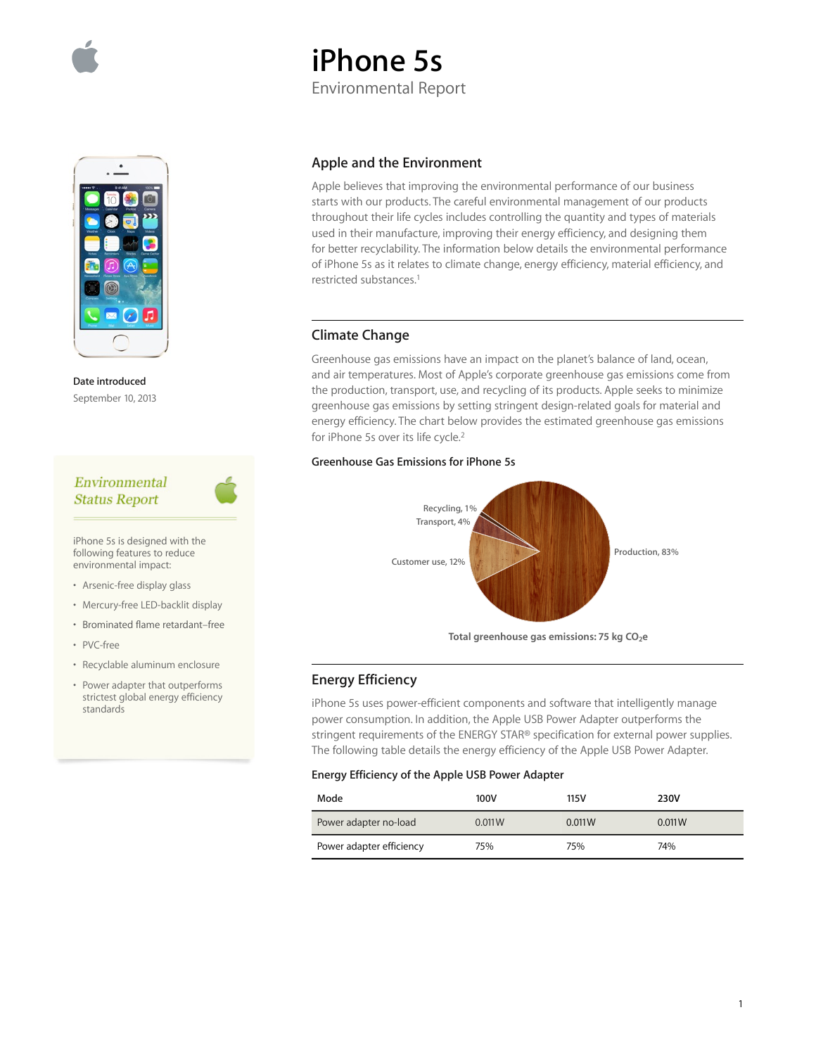# **iPhone 5s**

Environmental Report

**Date introduced**  September 10, 2013

# Environmental **Status Report**

iPhone 5s is designed with the following features to reduce environmental impact:

- Arsenic-free display glass
- Mercury-free LED-backlit display
- Brominated flame retardant–free
- PVC-free
- Recyclable aluminum enclosure
- Power adapter that outperforms strictest global energy efficiency standards

# **Apple and the Environment**

Apple believes that improving the environmental performance of our business starts with our products. The careful environmental management of our products throughout their life cycles includes controlling the quantity and types of materials used in their manufacture, improving their energy efficiency, and designing them for better recyclability. The information below details the environmental performance of iPhone 5s as it relates to climate change, energy efficiency, material efficiency, and restricted substances.1

# **Climate Change**

Greenhouse gas emissions have an impact on the planet's balance of land, ocean, and air temperatures. Most of Apple's corporate greenhouse gas emissions come from the production, transport, use, and recycling of its products. Apple seeks to minimize greenhouse gas emissions by setting stringent design-related goals for material and energy efficiency. The chart below provides the estimated greenhouse gas emissions for iPhone 5s over its life cycle.<sup>2</sup>

# **Greenhouse Gas Emissions for iPhone 5s**



# **Energy Efficiency**

iPhone 5s uses power-efficient components and software that intelligently manage power consumption. In addition, the Apple USB Power Adapter outperforms the stringent requirements of the ENERGY STAR® specification for external power supplies. The following table details the energy efficiency of the Apple USB Power Adapter.

### **Energy Efficiency of the Apple USB Power Adapter**

| Mode                     | 100V   | 115V   | 230V   |
|--------------------------|--------|--------|--------|
| Power adapter no-load    | 0.011W | 0.011W | 0.011W |
| Power adapter efficiency | 75%    | 75%    | 74%    |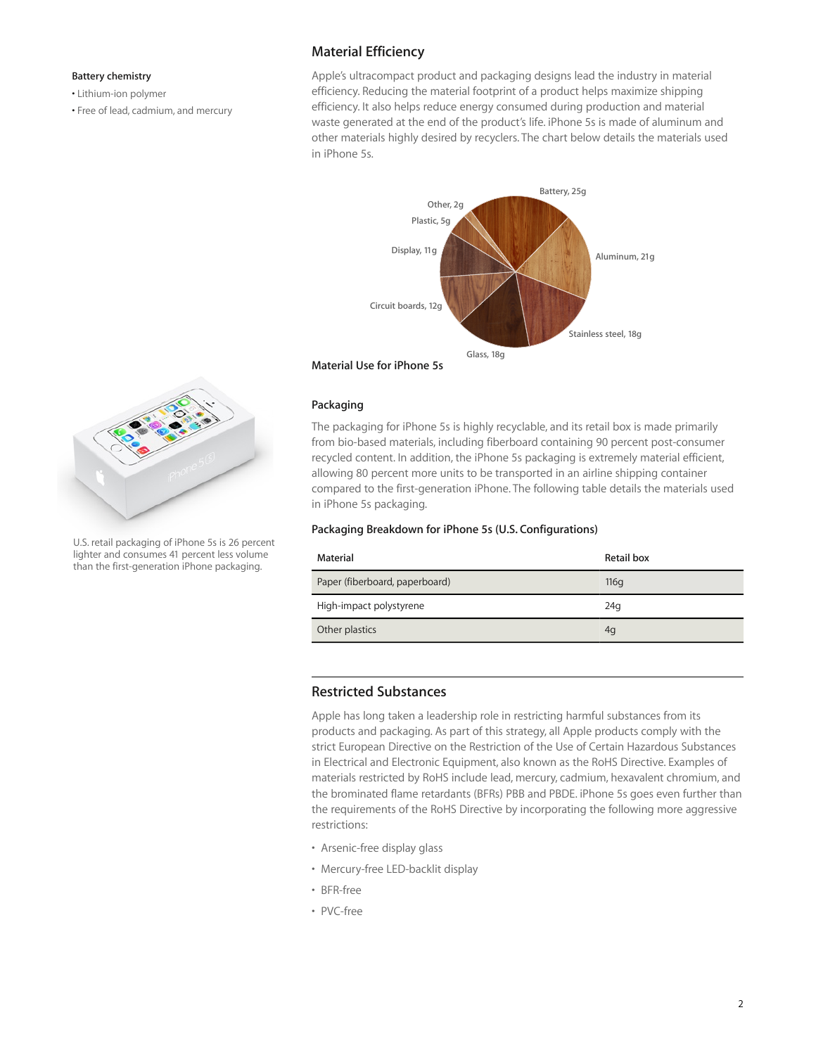#### **Battery chemistry**

• Lithium-ion polymer

• Free of lead, cadmium, and mercury

# **Material Efficiency**

Apple's ultracompact product and packaging designs lead the industry in material efficiency. Reducing the material footprint of a product helps maximize shipping efficiency. It also helps reduce energy consumed during production and material waste generated at the end of the product's life. iPhone 5s is made of aluminum and other materials highly desired by recyclers. The chart below details the materials used in iPhone 5s.



# **Packaging**

The packaging for iPhone 5s is highly recyclable, and its retail box is made primarily from bio-based materials, including fiberboard containing 90 percent post-consumer recycled content. In addition, the iPhone 5s packaging is extremely material efficient, allowing 80 percent more units to be transported in an airline shipping container compared to the first-generation iPhone. The following table details the materials used in iPhone 5s packaging.

#### **Packaging Breakdown for iPhone 5s (U.S. Configurations)**

| Material                       | Retail box |
|--------------------------------|------------|
| Paper (fiberboard, paperboard) | 116q       |
| High-impact polystyrene        | 24q        |
| Other plastics                 | 4q         |

# **Restricted Substances**

Apple has long taken a leadership role in restricting harmful substances from its products and packaging. As part of this strategy, all Apple products comply with the strict European Directive on the Restriction of the Use of Certain Hazardous Substances in Electrical and Electronic Equipment, also known as the RoHS Directive. Examples of materials restricted by RoHS include lead, mercury, cadmium, hexavalent chromium, and the brominated flame retardants (BFRs) PBB and PBDE. iPhone 5s goes even further than the requirements of the RoHS Directive by incorporating the following more aggressive restrictions:

- Arsenic-free display glass
- Mercury-free LED-backlit display
- BFR-free
- PVC-free



U.S. retail packaging of iPhone 5s is 26 percent lighter and consumes 41 percent less volume than the first-generation iPhone packaging.